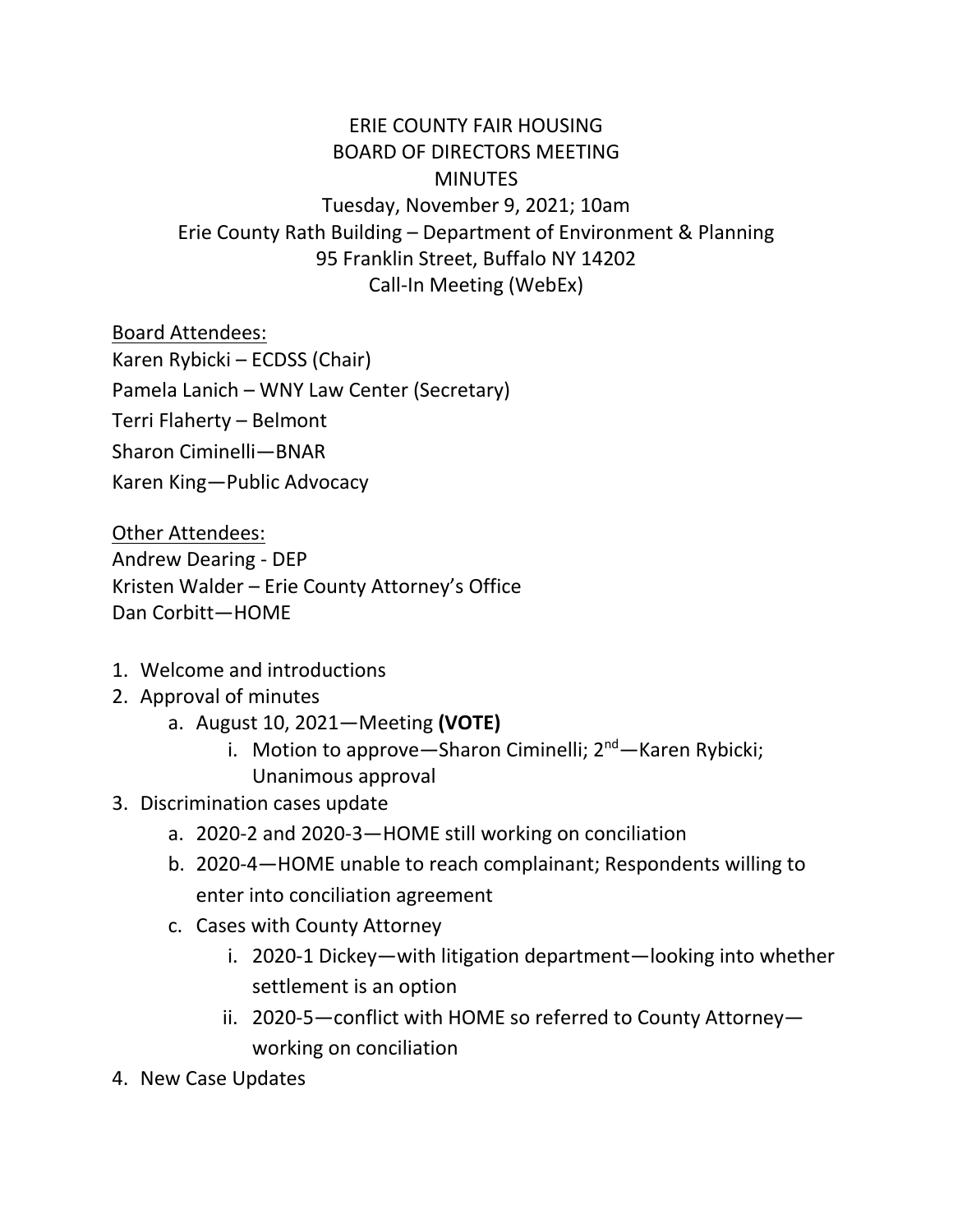## ERIE COUNTY FAIR HOUSING BOARD OF DIRECTORS MEETING **MINUTES** Tuesday, November 9, 2021; 10am Erie County Rath Building – Department of Environment & Planning 95 Franklin Street, Buffalo NY 14202 Call-In Meeting (WebEx)

Board Attendees:

Karen Rybicki – ECDSS (Chair)

Pamela Lanich – WNY Law Center (Secretary)

Terri Flaherty – Belmont

Sharon Ciminelli—BNAR

Karen King—Public Advocacy

Other Attendees:

Andrew Dearing - DEP Kristen Walder – Erie County Attorney's Office Dan Corbitt—HOME

- 1. Welcome and introductions
- 2. Approval of minutes
	- a. August 10, 2021—Meeting **(VOTE)**
		- i. Motion to approve—Sharon Ciminelli;  $2^{nd}$ —Karen Rybicki; Unanimous approval
- 3. Discrimination cases update
	- a. 2020-2 and 2020-3—HOME still working on conciliation
	- b. 2020-4—HOME unable to reach complainant; Respondents willing to enter into conciliation agreement
	- c. Cases with County Attorney
		- i. 2020-1 Dickey—with litigation department—looking into whether settlement is an option
		- ii. 2020-5—conflict with HOME so referred to County Attorney working on conciliation
- 4. New Case Updates